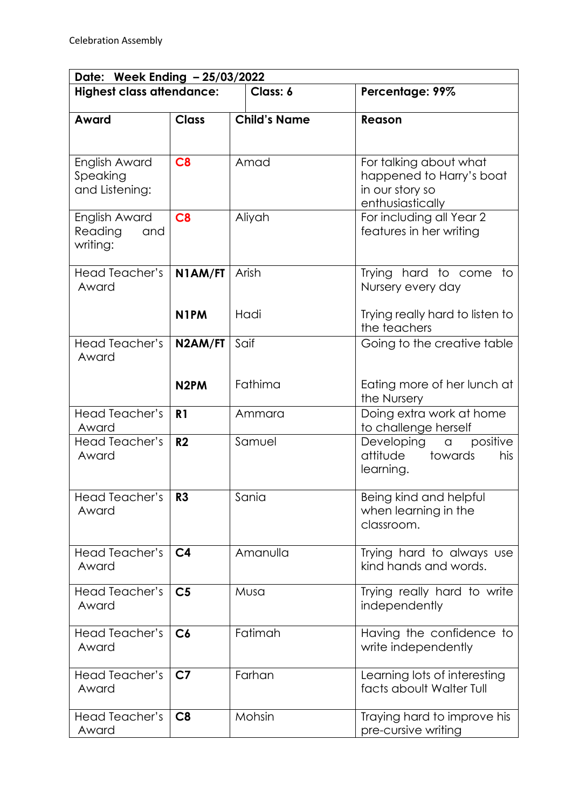| Date: Week Ending - 25/03/2022              |                      |                     |                                                                                           |  |  |
|---------------------------------------------|----------------------|---------------------|-------------------------------------------------------------------------------------------|--|--|
| <b>Highest class attendance:</b>            |                      | Class: 6            | Percentage: 99%                                                                           |  |  |
| Award                                       | <b>Class</b>         | <b>Child's Name</b> | Reason                                                                                    |  |  |
| English Award<br>Speaking<br>and Listening: | C8                   | Amad                | For talking about what<br>happened to Harry's boat<br>in our story so<br>enthusiastically |  |  |
| English Award<br>Reading<br>and<br>writing: | C8                   | Aliyah              | For including all Year 2<br>features in her writing                                       |  |  |
| Head Teacher's<br>Award                     | N1AM/FT              | Arish               | Trying hard to come to<br>Nursery every day                                               |  |  |
|                                             | N <sub>1</sub> PM    | Hadi                | Trying really hard to listen to<br>the teachers                                           |  |  |
| Head Teacher's<br>Award                     | N <sub>2</sub> AM/FT | Saif                | Going to the creative table                                                               |  |  |
|                                             | N <sub>2</sub> PM    | Fathima             | Eating more of her lunch at<br>the Nursery                                                |  |  |
| Head Teacher's<br>Award                     | R <sub>1</sub>       | Ammara              | Doing extra work at home<br>to challenge herself                                          |  |  |
| Head Teacher's<br>Award                     | R <sub>2</sub>       | Samuel              | positive<br>Developing a<br>attitude<br>towards<br>his<br>learning.                       |  |  |
| Head Teacher's<br>Award                     | R3                   | Sania               | Being kind and helpful<br>when learning in the<br>classroom.                              |  |  |
| Head Teacher's<br>Award                     | C <sub>4</sub>       | Amanulla            | Trying hard to always use<br>kind hands and words.                                        |  |  |
| <b>Head Teacher's</b><br>Award              | C <sub>5</sub>       | Musa                | Trying really hard to write<br>independently                                              |  |  |
| Head Teacher's<br>Award                     | C6                   | Fatimah             | Having the confidence to<br>write independently                                           |  |  |
| Head Teacher's<br>Award                     | C <sub>7</sub>       | Farhan              | Learning lots of interesting<br>facts aboult Walter Tull                                  |  |  |
| Head Teacher's<br>Award                     | C8                   | Mohsin              | Traying hard to improve his<br>pre-cursive writing                                        |  |  |